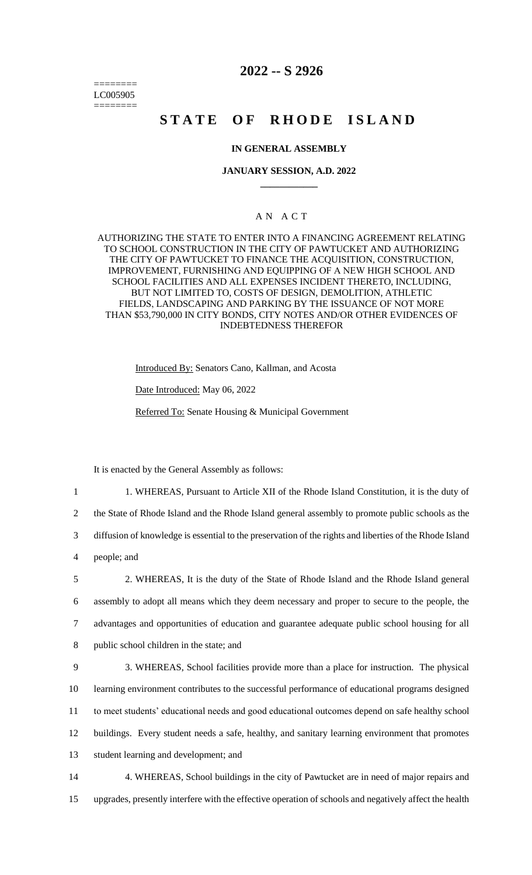======== LC005905 ========

# **2022 -- S 2926**

# **STATE OF RHODE ISLAND**

# **IN GENERAL ASSEMBLY**

## **JANUARY SESSION, A.D. 2022 \_\_\_\_\_\_\_\_\_\_\_\_**

# A N A C T

AUTHORIZING THE STATE TO ENTER INTO A FINANCING AGREEMENT RELATING TO SCHOOL CONSTRUCTION IN THE CITY OF PAWTUCKET AND AUTHORIZING THE CITY OF PAWTUCKET TO FINANCE THE ACQUISITION, CONSTRUCTION, IMPROVEMENT, FURNISHING AND EQUIPPING OF A NEW HIGH SCHOOL AND SCHOOL FACILITIES AND ALL EXPENSES INCIDENT THERETO, INCLUDING, BUT NOT LIMITED TO, COSTS OF DESIGN, DEMOLITION, ATHLETIC FIELDS, LANDSCAPING AND PARKING BY THE ISSUANCE OF NOT MORE THAN \$53,790,000 IN CITY BONDS, CITY NOTES AND/OR OTHER EVIDENCES OF INDEBTEDNESS THEREFOR

Introduced By: Senators Cano, Kallman, and Acosta

Date Introduced: May 06, 2022

Referred To: Senate Housing & Municipal Government

It is enacted by the General Assembly as follows:

1 1. WHEREAS, Pursuant to Article XII of the Rhode Island Constitution, it is the duty of 2 the State of Rhode Island and the Rhode Island general assembly to promote public schools as the 3 diffusion of knowledge is essential to the preservation of the rights and liberties of the Rhode Island

4 people; and

 2. WHEREAS, It is the duty of the State of Rhode Island and the Rhode Island general assembly to adopt all means which they deem necessary and proper to secure to the people, the advantages and opportunities of education and guarantee adequate public school housing for all public school children in the state; and

 3. WHEREAS, School facilities provide more than a place for instruction. The physical learning environment contributes to the successful performance of educational programs designed to meet students' educational needs and good educational outcomes depend on safe healthy school buildings. Every student needs a safe, healthy, and sanitary learning environment that promotes student learning and development; and

14 4. WHEREAS, School buildings in the city of Pawtucket are in need of major repairs and 15 upgrades, presently interfere with the effective operation of schools and negatively affect the health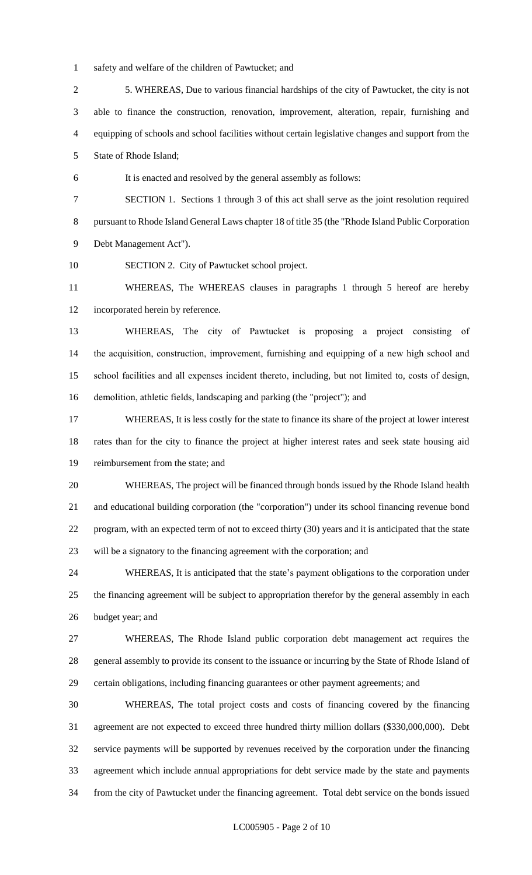- safety and welfare of the children of Pawtucket; and
- 5. WHEREAS, Due to various financial hardships of the city of Pawtucket, the city is not able to finance the construction, renovation, improvement, alteration, repair, furnishing and equipping of schools and school facilities without certain legislative changes and support from the State of Rhode Island;
- It is enacted and resolved by the general assembly as follows:
- SECTION 1. Sections 1 through 3 of this act shall serve as the joint resolution required pursuant to Rhode Island General Laws chapter 18 of title 35 (the "Rhode Island Public Corporation Debt Management Act").
- SECTION 2. City of Pawtucket school project.

 WHEREAS, The WHEREAS clauses in paragraphs 1 through 5 hereof are hereby incorporated herein by reference.

 WHEREAS, The city of Pawtucket is proposing a project consisting of the acquisition, construction, improvement, furnishing and equipping of a new high school and school facilities and all expenses incident thereto, including, but not limited to, costs of design, demolition, athletic fields, landscaping and parking (the "project"); and

 WHEREAS, It is less costly for the state to finance its share of the project at lower interest rates than for the city to finance the project at higher interest rates and seek state housing aid reimbursement from the state; and

 WHEREAS, The project will be financed through bonds issued by the Rhode Island health and educational building corporation (the "corporation") under its school financing revenue bond program, with an expected term of not to exceed thirty (30) years and it is anticipated that the state will be a signatory to the financing agreement with the corporation; and

 WHEREAS, It is anticipated that the state's payment obligations to the corporation under the financing agreement will be subject to appropriation therefor by the general assembly in each budget year; and

 WHEREAS, The Rhode Island public corporation debt management act requires the general assembly to provide its consent to the issuance or incurring by the State of Rhode Island of certain obligations, including financing guarantees or other payment agreements; and

 WHEREAS, The total project costs and costs of financing covered by the financing agreement are not expected to exceed three hundred thirty million dollars (\$330,000,000). Debt service payments will be supported by revenues received by the corporation under the financing agreement which include annual appropriations for debt service made by the state and payments from the city of Pawtucket under the financing agreement. Total debt service on the bonds issued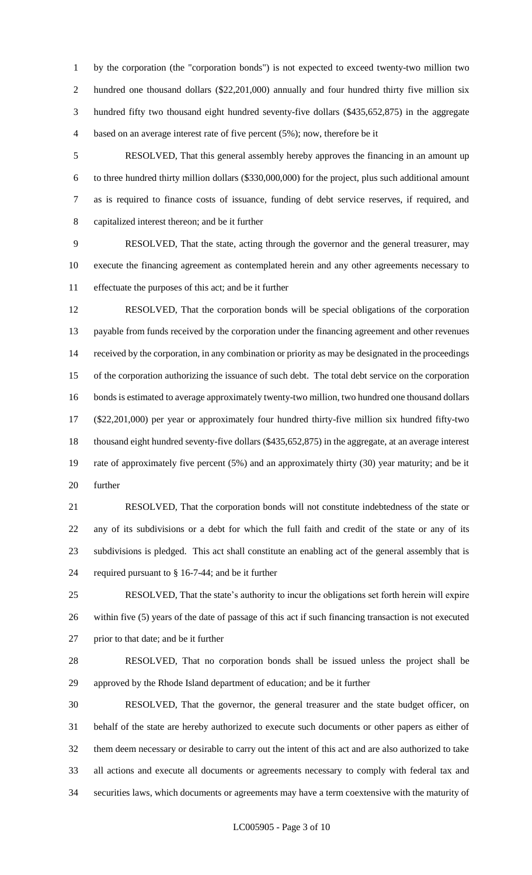by the corporation (the "corporation bonds") is not expected to exceed twenty-two million two 2 hundred one thousand dollars (\$22,201,000) annually and four hundred thirty five million six hundred fifty two thousand eight hundred seventy-five dollars (\$435,652,875) in the aggregate based on an average interest rate of five percent (5%); now, therefore be it

 RESOLVED, That this general assembly hereby approves the financing in an amount up to three hundred thirty million dollars (\$330,000,000) for the project, plus such additional amount as is required to finance costs of issuance, funding of debt service reserves, if required, and capitalized interest thereon; and be it further

 RESOLVED, That the state, acting through the governor and the general treasurer, may execute the financing agreement as contemplated herein and any other agreements necessary to effectuate the purposes of this act; and be it further

 RESOLVED, That the corporation bonds will be special obligations of the corporation 13 payable from funds received by the corporation under the financing agreement and other revenues received by the corporation, in any combination or priority as may be designated in the proceedings of the corporation authorizing the issuance of such debt. The total debt service on the corporation bonds is estimated to average approximately twenty-two million, two hundred one thousand dollars (\$22,201,000) per year or approximately four hundred thirty-five million six hundred fifty-two thousand eight hundred seventy-five dollars (\$435,652,875) in the aggregate, at an average interest rate of approximately five percent (5%) and an approximately thirty (30) year maturity; and be it further

 RESOLVED, That the corporation bonds will not constitute indebtedness of the state or any of its subdivisions or a debt for which the full faith and credit of the state or any of its subdivisions is pledged. This act shall constitute an enabling act of the general assembly that is required pursuant to § 16-7-44; and be it further

 RESOLVED, That the state's authority to incur the obligations set forth herein will expire within five (5) years of the date of passage of this act if such financing transaction is not executed prior to that date; and be it further

 RESOLVED, That no corporation bonds shall be issued unless the project shall be approved by the Rhode Island department of education; and be it further

 RESOLVED, That the governor, the general treasurer and the state budget officer, on behalf of the state are hereby authorized to execute such documents or other papers as either of them deem necessary or desirable to carry out the intent of this act and are also authorized to take all actions and execute all documents or agreements necessary to comply with federal tax and securities laws, which documents or agreements may have a term coextensive with the maturity of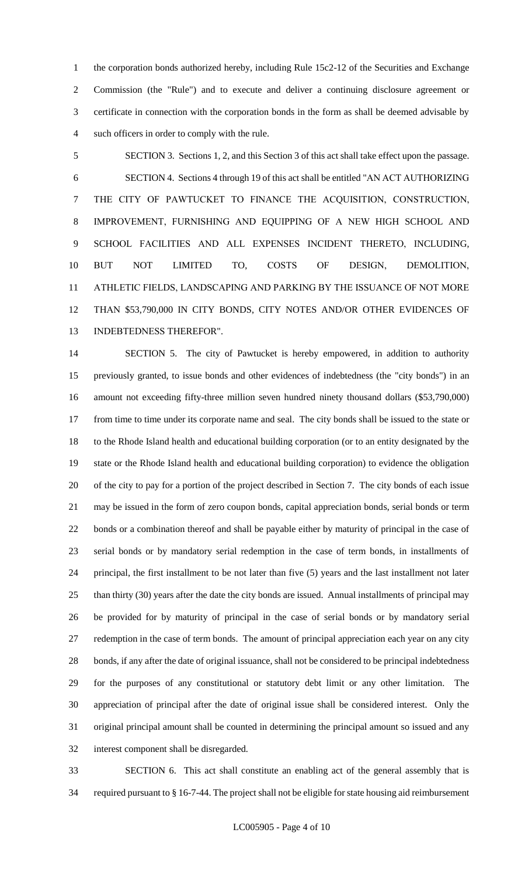1 the corporation bonds authorized hereby, including Rule 15c2-12 of the Securities and Exchange Commission (the "Rule") and to execute and deliver a continuing disclosure agreement or certificate in connection with the corporation bonds in the form as shall be deemed advisable by such officers in order to comply with the rule.

 SECTION 3. Sections 1, 2, and this Section 3 of this act shall take effect upon the passage. SECTION 4. Sections 4 through 19 of this act shall be entitled "AN ACT AUTHORIZING THE CITY OF PAWTUCKET TO FINANCE THE ACQUISITION, CONSTRUCTION, IMPROVEMENT, FURNISHING AND EQUIPPING OF A NEW HIGH SCHOOL AND SCHOOL FACILITIES AND ALL EXPENSES INCIDENT THERETO, INCLUDING, BUT NOT LIMITED TO, COSTS OF DESIGN, DEMOLITION, ATHLETIC FIELDS, LANDSCAPING AND PARKING BY THE ISSUANCE OF NOT MORE THAN \$53,790,000 IN CITY BONDS, CITY NOTES AND/OR OTHER EVIDENCES OF INDEBTEDNESS THEREFOR".

 SECTION 5. The city of Pawtucket is hereby empowered, in addition to authority previously granted, to issue bonds and other evidences of indebtedness (the "city bonds") in an amount not exceeding fifty-three million seven hundred ninety thousand dollars (\$53,790,000) from time to time under its corporate name and seal. The city bonds shall be issued to the state or to the Rhode Island health and educational building corporation (or to an entity designated by the state or the Rhode Island health and educational building corporation) to evidence the obligation of the city to pay for a portion of the project described in Section 7. The city bonds of each issue may be issued in the form of zero coupon bonds, capital appreciation bonds, serial bonds or term bonds or a combination thereof and shall be payable either by maturity of principal in the case of serial bonds or by mandatory serial redemption in the case of term bonds, in installments of principal, the first installment to be not later than five (5) years and the last installment not later than thirty (30) years after the date the city bonds are issued. Annual installments of principal may be provided for by maturity of principal in the case of serial bonds or by mandatory serial redemption in the case of term bonds. The amount of principal appreciation each year on any city bonds, if any after the date of original issuance, shall not be considered to be principal indebtedness for the purposes of any constitutional or statutory debt limit or any other limitation. The appreciation of principal after the date of original issue shall be considered interest. Only the original principal amount shall be counted in determining the principal amount so issued and any interest component shall be disregarded.

 SECTION 6. This act shall constitute an enabling act of the general assembly that is required pursuant to § 16-7-44. The project shall not be eligible for state housing aid reimbursement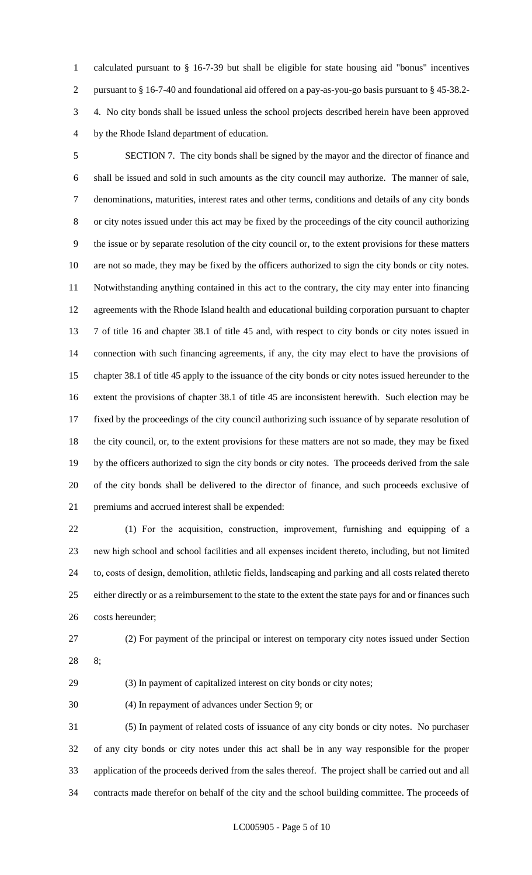calculated pursuant to § 16-7-39 but shall be eligible for state housing aid "bonus" incentives pursuant to § 16-7-40 and foundational aid offered on a pay-as-you-go basis pursuant to § 45-38.2- 4. No city bonds shall be issued unless the school projects described herein have been approved by the Rhode Island department of education.

 SECTION 7. The city bonds shall be signed by the mayor and the director of finance and shall be issued and sold in such amounts as the city council may authorize. The manner of sale, denominations, maturities, interest rates and other terms, conditions and details of any city bonds or city notes issued under this act may be fixed by the proceedings of the city council authorizing the issue or by separate resolution of the city council or, to the extent provisions for these matters are not so made, they may be fixed by the officers authorized to sign the city bonds or city notes. Notwithstanding anything contained in this act to the contrary, the city may enter into financing agreements with the Rhode Island health and educational building corporation pursuant to chapter 7 of title 16 and chapter 38.1 of title 45 and, with respect to city bonds or city notes issued in connection with such financing agreements, if any, the city may elect to have the provisions of chapter 38.1 of title 45 apply to the issuance of the city bonds or city notes issued hereunder to the extent the provisions of chapter 38.1 of title 45 are inconsistent herewith. Such election may be fixed by the proceedings of the city council authorizing such issuance of by separate resolution of the city council, or, to the extent provisions for these matters are not so made, they may be fixed by the officers authorized to sign the city bonds or city notes. The proceeds derived from the sale of the city bonds shall be delivered to the director of finance, and such proceeds exclusive of premiums and accrued interest shall be expended:

 (1) For the acquisition, construction, improvement, furnishing and equipping of a new high school and school facilities and all expenses incident thereto, including, but not limited to, costs of design, demolition, athletic fields, landscaping and parking and all costs related thereto 25 either directly or as a reimbursement to the state to the extent the state pays for and or finances such costs hereunder;

(2) For payment of the principal or interest on temporary city notes issued under Section

8;

(3) In payment of capitalized interest on city bonds or city notes;

(4) In repayment of advances under Section 9; or

 (5) In payment of related costs of issuance of any city bonds or city notes. No purchaser of any city bonds or city notes under this act shall be in any way responsible for the proper application of the proceeds derived from the sales thereof. The project shall be carried out and all contracts made therefor on behalf of the city and the school building committee. The proceeds of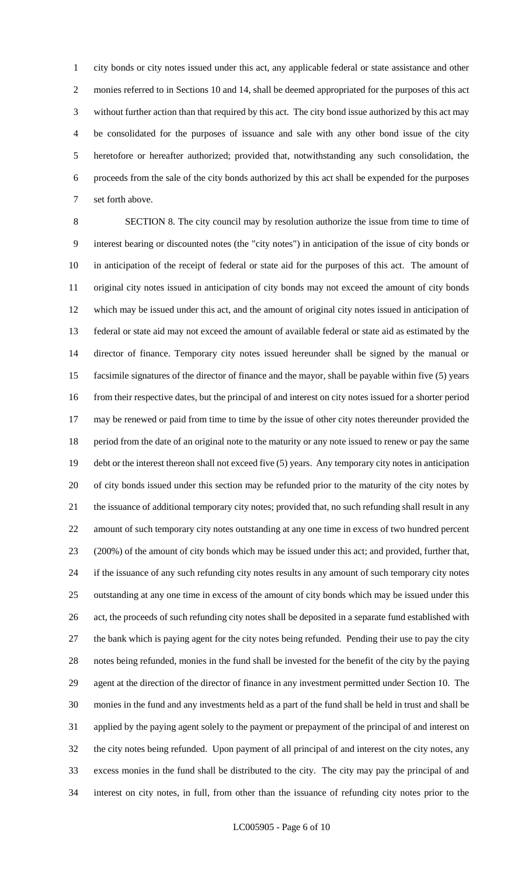city bonds or city notes issued under this act, any applicable federal or state assistance and other monies referred to in Sections 10 and 14, shall be deemed appropriated for the purposes of this act without further action than that required by this act. The city bond issue authorized by this act may be consolidated for the purposes of issuance and sale with any other bond issue of the city heretofore or hereafter authorized; provided that, notwithstanding any such consolidation, the proceeds from the sale of the city bonds authorized by this act shall be expended for the purposes set forth above.

 SECTION 8. The city council may by resolution authorize the issue from time to time of interest bearing or discounted notes (the "city notes") in anticipation of the issue of city bonds or in anticipation of the receipt of federal or state aid for the purposes of this act. The amount of original city notes issued in anticipation of city bonds may not exceed the amount of city bonds which may be issued under this act, and the amount of original city notes issued in anticipation of federal or state aid may not exceed the amount of available federal or state aid as estimated by the director of finance. Temporary city notes issued hereunder shall be signed by the manual or facsimile signatures of the director of finance and the mayor, shall be payable within five (5) years from their respective dates, but the principal of and interest on city notes issued for a shorter period may be renewed or paid from time to time by the issue of other city notes thereunder provided the period from the date of an original note to the maturity or any note issued to renew or pay the same debt or the interest thereon shall not exceed five (5) years. Any temporary city notes in anticipation of city bonds issued under this section may be refunded prior to the maturity of the city notes by the issuance of additional temporary city notes; provided that, no such refunding shall result in any amount of such temporary city notes outstanding at any one time in excess of two hundred percent (200%) of the amount of city bonds which may be issued under this act; and provided, further that, if the issuance of any such refunding city notes results in any amount of such temporary city notes outstanding at any one time in excess of the amount of city bonds which may be issued under this act, the proceeds of such refunding city notes shall be deposited in a separate fund established with the bank which is paying agent for the city notes being refunded. Pending their use to pay the city notes being refunded, monies in the fund shall be invested for the benefit of the city by the paying agent at the direction of the director of finance in any investment permitted under Section 10. The monies in the fund and any investments held as a part of the fund shall be held in trust and shall be applied by the paying agent solely to the payment or prepayment of the principal of and interest on the city notes being refunded. Upon payment of all principal of and interest on the city notes, any excess monies in the fund shall be distributed to the city. The city may pay the principal of and interest on city notes, in full, from other than the issuance of refunding city notes prior to the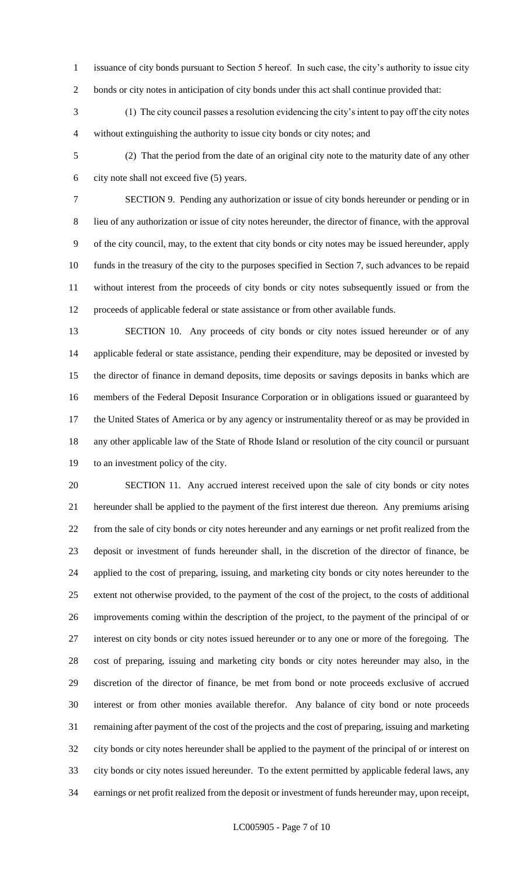- issuance of city bonds pursuant to Section 5 hereof. In such case, the city's authority to issue city
- bonds or city notes in anticipation of city bonds under this act shall continue provided that:

 (1) The city council passes a resolution evidencing the city's intent to pay off the city notes without extinguishing the authority to issue city bonds or city notes; and

 (2) That the period from the date of an original city note to the maturity date of any other city note shall not exceed five (5) years.

 SECTION 9. Pending any authorization or issue of city bonds hereunder or pending or in lieu of any authorization or issue of city notes hereunder, the director of finance, with the approval of the city council, may, to the extent that city bonds or city notes may be issued hereunder, apply funds in the treasury of the city to the purposes specified in Section 7, such advances to be repaid without interest from the proceeds of city bonds or city notes subsequently issued or from the proceeds of applicable federal or state assistance or from other available funds.

 SECTION 10. Any proceeds of city bonds or city notes issued hereunder or of any applicable federal or state assistance, pending their expenditure, may be deposited or invested by the director of finance in demand deposits, time deposits or savings deposits in banks which are members of the Federal Deposit Insurance Corporation or in obligations issued or guaranteed by the United States of America or by any agency or instrumentality thereof or as may be provided in any other applicable law of the State of Rhode Island or resolution of the city council or pursuant to an investment policy of the city.

 SECTION 11. Any accrued interest received upon the sale of city bonds or city notes hereunder shall be applied to the payment of the first interest due thereon. Any premiums arising from the sale of city bonds or city notes hereunder and any earnings or net profit realized from the deposit or investment of funds hereunder shall, in the discretion of the director of finance, be applied to the cost of preparing, issuing, and marketing city bonds or city notes hereunder to the extent not otherwise provided, to the payment of the cost of the project, to the costs of additional improvements coming within the description of the project, to the payment of the principal of or interest on city bonds or city notes issued hereunder or to any one or more of the foregoing. The cost of preparing, issuing and marketing city bonds or city notes hereunder may also, in the discretion of the director of finance, be met from bond or note proceeds exclusive of accrued interest or from other monies available therefor. Any balance of city bond or note proceeds remaining after payment of the cost of the projects and the cost of preparing, issuing and marketing city bonds or city notes hereunder shall be applied to the payment of the principal of or interest on city bonds or city notes issued hereunder. To the extent permitted by applicable federal laws, any earnings or net profit realized from the deposit or investment of funds hereunder may, upon receipt,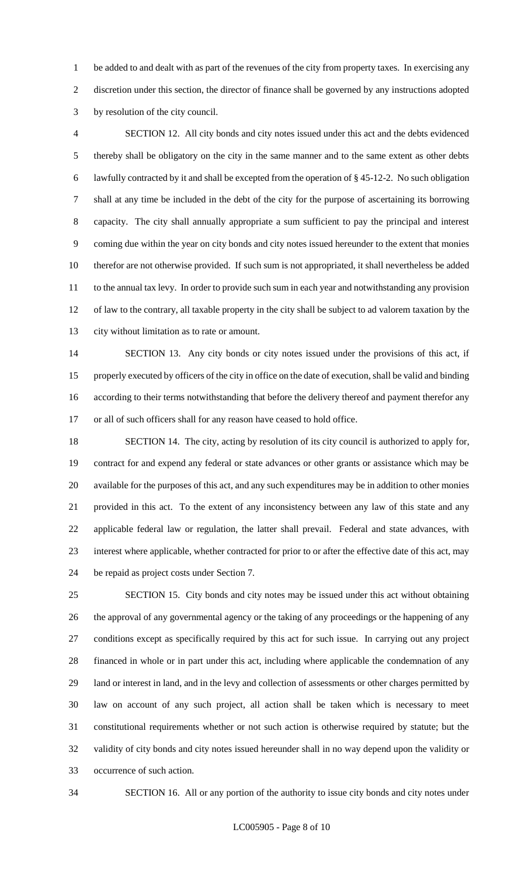be added to and dealt with as part of the revenues of the city from property taxes. In exercising any discretion under this section, the director of finance shall be governed by any instructions adopted by resolution of the city council.

 SECTION 12. All city bonds and city notes issued under this act and the debts evidenced thereby shall be obligatory on the city in the same manner and to the same extent as other debts lawfully contracted by it and shall be excepted from the operation of § 45-12-2. No such obligation shall at any time be included in the debt of the city for the purpose of ascertaining its borrowing capacity. The city shall annually appropriate a sum sufficient to pay the principal and interest coming due within the year on city bonds and city notes issued hereunder to the extent that monies therefor are not otherwise provided. If such sum is not appropriated, it shall nevertheless be added to the annual tax levy. In order to provide such sum in each year and notwithstanding any provision of law to the contrary, all taxable property in the city shall be subject to ad valorem taxation by the city without limitation as to rate or amount.

 SECTION 13. Any city bonds or city notes issued under the provisions of this act, if properly executed by officers of the city in office on the date of execution, shall be valid and binding according to their terms notwithstanding that before the delivery thereof and payment therefor any or all of such officers shall for any reason have ceased to hold office.

 SECTION 14. The city, acting by resolution of its city council is authorized to apply for, contract for and expend any federal or state advances or other grants or assistance which may be available for the purposes of this act, and any such expenditures may be in addition to other monies provided in this act. To the extent of any inconsistency between any law of this state and any applicable federal law or regulation, the latter shall prevail. Federal and state advances, with interest where applicable, whether contracted for prior to or after the effective date of this act, may be repaid as project costs under Section 7.

 SECTION 15. City bonds and city notes may be issued under this act without obtaining the approval of any governmental agency or the taking of any proceedings or the happening of any conditions except as specifically required by this act for such issue. In carrying out any project financed in whole or in part under this act, including where applicable the condemnation of any land or interest in land, and in the levy and collection of assessments or other charges permitted by law on account of any such project, all action shall be taken which is necessary to meet constitutional requirements whether or not such action is otherwise required by statute; but the validity of city bonds and city notes issued hereunder shall in no way depend upon the validity or occurrence of such action.

SECTION 16. All or any portion of the authority to issue city bonds and city notes under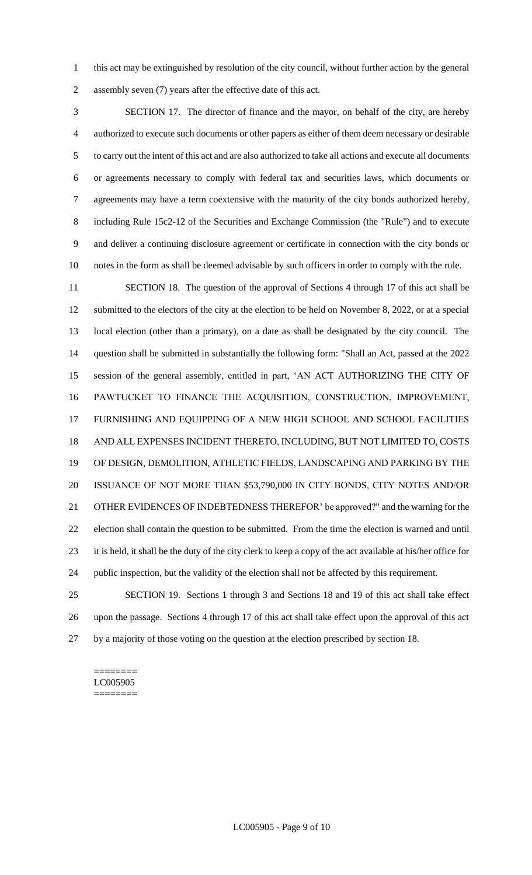this act may be extinguished by resolution of the city council, without further action by the general assembly seven (7) years after the effective date of this act.

 SECTION 17. The director of finance and the mayor, on behalf of the city, are hereby authorized to execute such documents or other papers as either of them deem necessary or desirable to carry out the intent of this act and are also authorized to take all actions and execute all documents or agreements necessary to comply with federal tax and securities laws, which documents or agreements may have a term coextensive with the maturity of the city bonds authorized hereby, including Rule 15c2-12 of the Securities and Exchange Commission (the "Rule") and to execute and deliver a continuing disclosure agreement or certificate in connection with the city bonds or notes in the form as shall be deemed advisable by such officers in order to comply with the rule.

 SECTION 18. The question of the approval of Sections 4 through 17 of this act shall be submitted to the electors of the city at the election to be held on November 8, 2022, or at a special local election (other than a primary), on a date as shall be designated by the city council. The question shall be submitted in substantially the following form: "Shall an Act, passed at the 2022 session of the general assembly, entitled in part, 'AN ACT AUTHORIZING THE CITY OF PAWTUCKET TO FINANCE THE ACQUISITION, CONSTRUCTION, IMPROVEMENT, FURNISHING AND EQUIPPING OF A NEW HIGH SCHOOL AND SCHOOL FACILITIES AND ALL EXPENSES INCIDENT THERETO, INCLUDING, BUT NOT LIMITED TO, COSTS OF DESIGN, DEMOLITION, ATHLETIC FIELDS, LANDSCAPING AND PARKING BY THE ISSUANCE OF NOT MORE THAN \$53,790,000 IN CITY BONDS, CITY NOTES AND/OR OTHER EVIDENCES OF INDEBTEDNESS THEREFOR' be approved?" and the warning for the election shall contain the question to be submitted. From the time the election is warned and until it is held, it shall be the duty of the city clerk to keep a copy of the act available at his/her office for public inspection, but the validity of the election shall not be affected by this requirement.

 SECTION 19. Sections 1 through 3 and Sections 18 and 19 of this act shall take effect upon the passage. Sections 4 through 17 of this act shall take effect upon the approval of this act by a majority of those voting on the question at the election prescribed by section 18.

#### ======== LC005905 ========